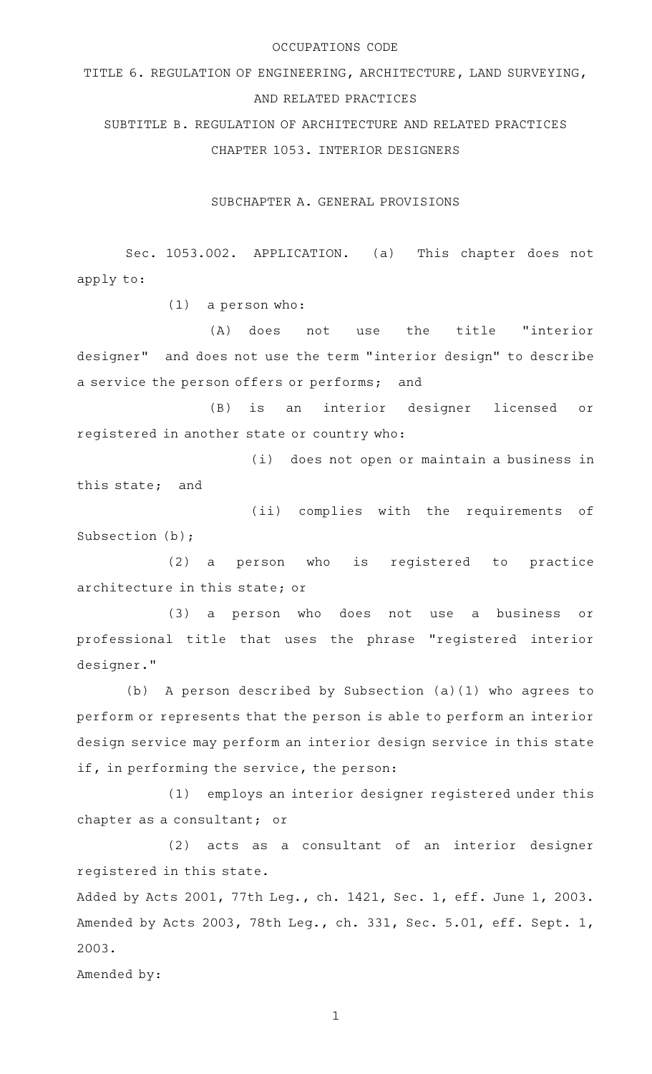## OCCUPATIONS CODE

TITLE 6. REGULATION OF ENGINEERING, ARCHITECTURE, LAND SURVEYING, AND RELATED PRACTICES

SUBTITLE B. REGULATION OF ARCHITECTURE AND RELATED PRACTICES CHAPTER 1053. INTERIOR DESIGNERS

SUBCHAPTER A. GENERAL PROVISIONS

Sec. 1053.002. APPLICATION. (a) This chapter does not apply to:

 $(1)$  a person who:

(A) does not use the title "interior designer" and does not use the term "interior design" to describe a service the person offers or performs; and

(B) is an interior designer licensed or registered in another state or country who:

(i) does not open or maintain a business in this state; and

(ii) complies with the requirements of Subsection (b);

(2) a person who is registered to practice architecture in this state; or

(3) a person who does not use a business or professional title that uses the phrase "registered interior designer."

(b) A person described by Subsection (a)(1) who agrees to perform or represents that the person is able to perform an interior design service may perform an interior design service in this state if, in performing the service, the person:

(1) employs an interior designer registered under this chapter as a consultant; or

(2) acts as a consultant of an interior designer registered in this state.

Added by Acts 2001, 77th Leg., ch. 1421, Sec. 1, eff. June 1, 2003. Amended by Acts 2003, 78th Leg., ch. 331, Sec. 5.01, eff. Sept. 1, 2003.

Amended by: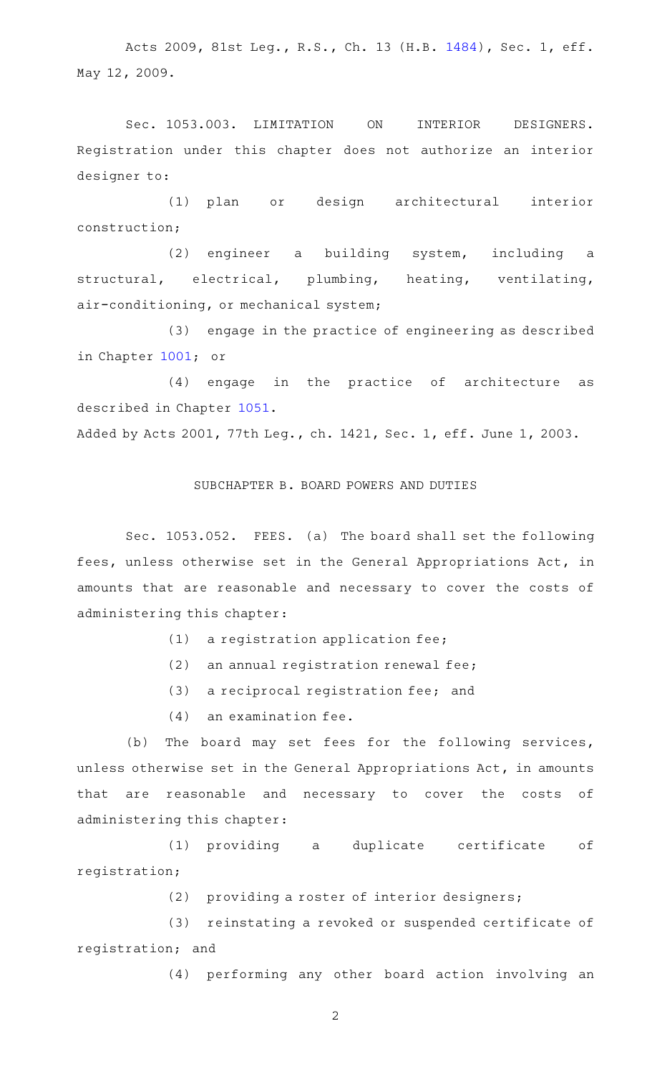Acts 2009, 81st Leg., R.S., Ch. 13 (H.B. [1484](http://www.legis.state.tx.us/tlodocs/81R/billtext/html/HB01484F.HTM)), Sec. 1, eff. May 12, 2009.

Sec. 1053.003. LIMITATION ON INTERIOR DESIGNERS. Registration under this chapter does not authorize an interior designer to:

(1) plan or design architectural interior construction;

(2) engineer a building system, including a structural, electrical, plumbing, heating, ventilating, air-conditioning, or mechanical system;

(3) engage in the practice of engineering as described in Chapter [1001](http://www.statutes.legis.state.tx.us/GetStatute.aspx?Code=OC&Value=1001); or

(4) engage in the practice of architecture as described in Chapter [1051](http://www.statutes.legis.state.tx.us/GetStatute.aspx?Code=OC&Value=1051).

Added by Acts 2001, 77th Leg., ch. 1421, Sec. 1, eff. June 1, 2003.

## SUBCHAPTER B. BOARD POWERS AND DUTIES

Sec. 1053.052. FEES. (a) The board shall set the following fees, unless otherwise set in the General Appropriations Act, in amounts that are reasonable and necessary to cover the costs of administering this chapter:

 $(1)$  a registration application fee;

- $(2)$  an annual registration renewal fee;
- (3) a reciprocal registration fee; and
- $(4)$  an examination fee.

(b) The board may set fees for the following services, unless otherwise set in the General Appropriations Act, in amounts that are reasonable and necessary to cover the costs of administering this chapter:

(1) providing a duplicate certificate of registration;

(2) providing a roster of interior designers;

(3) reinstating a revoked or suspended certificate of registration; and

(4) performing any other board action involving an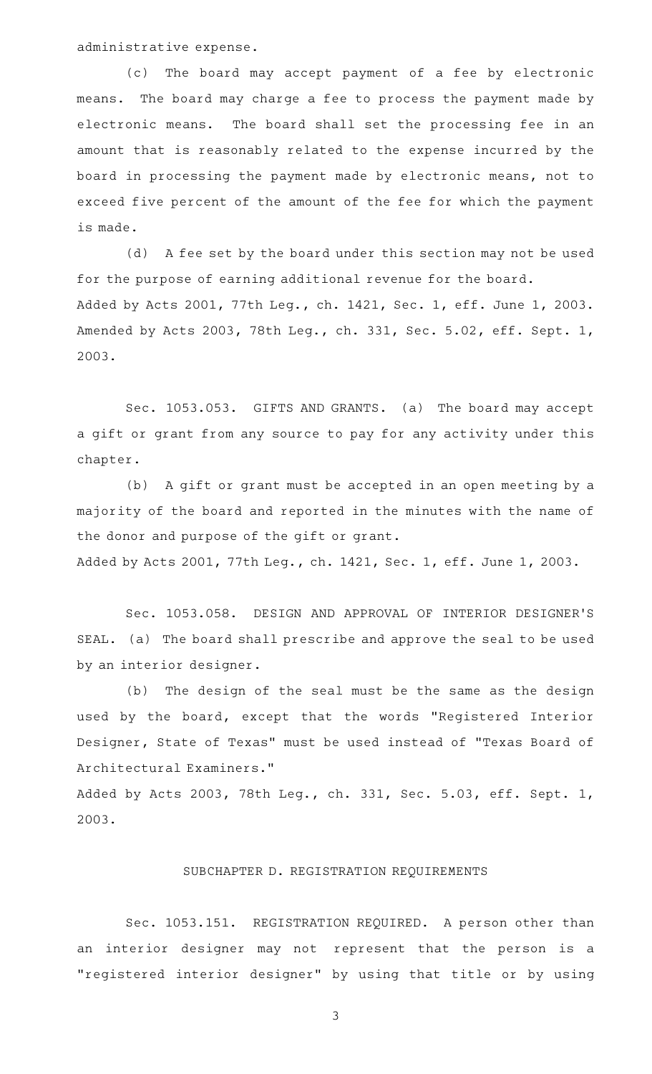administrative expense.

(c) The board may accept payment of a fee by electronic means. The board may charge a fee to process the payment made by electronic means. The board shall set the processing fee in an amount that is reasonably related to the expense incurred by the board in processing the payment made by electronic means, not to exceed five percent of the amount of the fee for which the payment is made.

(d) A fee set by the board under this section may not be used for the purpose of earning additional revenue for the board. Added by Acts 2001, 77th Leg., ch. 1421, Sec. 1, eff. June 1, 2003. Amended by Acts 2003, 78th Leg., ch. 331, Sec. 5.02, eff. Sept. 1, 2003.

Sec. 1053.053. GIFTS AND GRANTS. (a) The board may accept a gift or grant from any source to pay for any activity under this chapter.

(b) A gift or grant must be accepted in an open meeting by a majority of the board and reported in the minutes with the name of the donor and purpose of the gift or grant. Added by Acts 2001, 77th Leg., ch. 1421, Sec. 1, eff. June 1, 2003.

Sec. 1053.058. DESIGN AND APPROVAL OF INTERIOR DESIGNER'S SEAL. (a) The board shall prescribe and approve the seal to be used by an interior designer.

(b) The design of the seal must be the same as the design used by the board, except that the words "Registered Interior Designer, State of Texas" must be used instead of "Texas Board of Architectural Examiners."

Added by Acts 2003, 78th Leg., ch. 331, Sec. 5.03, eff. Sept. 1, 2003.

## SUBCHAPTER D. REGISTRATION REQUIREMENTS

Sec. 1053.151. REGISTRATION REQUIRED. A person other than an interior designer may not represent that the person is a "registered interior designer" by using that title or by using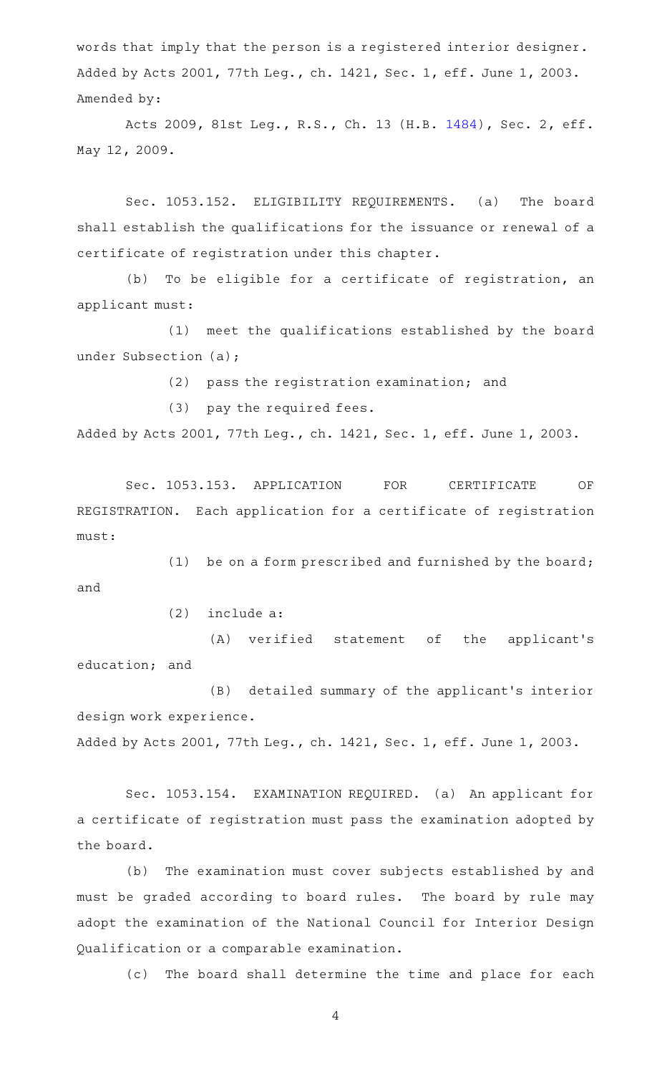words that imply that the person is a registered interior designer. Added by Acts 2001, 77th Leg., ch. 1421, Sec. 1, eff. June 1, 2003. Amended by:

Acts 2009, 81st Leg., R.S., Ch. 13 (H.B. [1484](http://www.legis.state.tx.us/tlodocs/81R/billtext/html/HB01484F.HTM)), Sec. 2, eff. May 12, 2009.

Sec. 1053.152. ELIGIBILITY REQUIREMENTS. (a) The board shall establish the qualifications for the issuance or renewal of a certificate of registration under this chapter.

(b) To be eligible for a certificate of registration, an applicant must:

(1) meet the qualifications established by the board under Subsection (a);

(2) pass the registration examination; and

(3) pay the required fees.

Added by Acts 2001, 77th Leg., ch. 1421, Sec. 1, eff. June 1, 2003.

Sec. 1053.153. APPLICATION FOR CERTIFICATE OF REGISTRATION. Each application for a certificate of registration must:

(1) be on a form prescribed and furnished by the board; and

 $(2)$  include a:

(A) verified statement of the applicant's education; and

(B) detailed summary of the applicant's interior design work experience. Added by Acts 2001, 77th Leg., ch. 1421, Sec. 1, eff. June 1, 2003.

Sec. 1053.154. EXAMINATION REQUIRED. (a) An applicant for a certificate of registration must pass the examination adopted by the board.

(b) The examination must cover subjects established by and must be graded according to board rules. The board by rule may adopt the examination of the National Council for Interior Design Qualification or a comparable examination.

(c) The board shall determine the time and place for each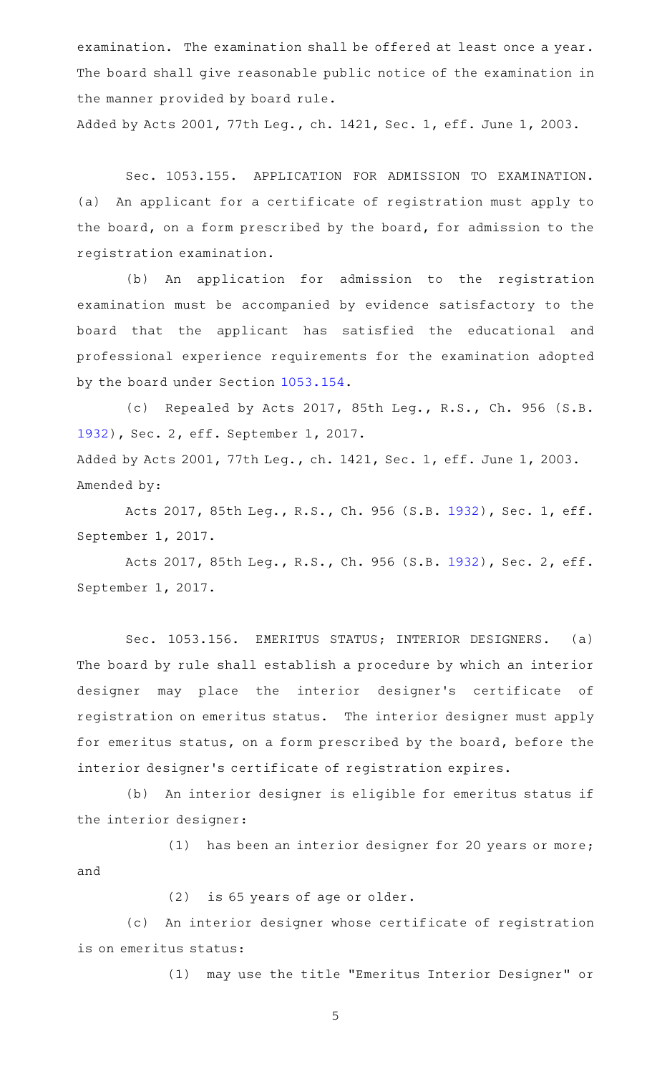examination. The examination shall be offered at least once a year. The board shall give reasonable public notice of the examination in the manner provided by board rule.

Added by Acts 2001, 77th Leg., ch. 1421, Sec. 1, eff. June 1, 2003.

Sec. 1053.155. APPLICATION FOR ADMISSION TO EXAMINATION. (a) An applicant for a certificate of registration must apply to the board, on a form prescribed by the board, for admission to the registration examination.

(b) An application for admission to the registration examination must be accompanied by evidence satisfactory to the board that the applicant has satisfied the educational and professional experience requirements for the examination adopted by the board under Section [1053.154.](http://www.statutes.legis.state.tx.us/GetStatute.aspx?Code=OC&Value=1053.154)

(c) Repealed by Acts 2017, 85th Leg., R.S., Ch. 956 (S.B. [1932](http://www.legis.state.tx.us/tlodocs/85R/billtext/html/SB01932F.HTM)), Sec. 2, eff. September 1, 2017. Added by Acts 2001, 77th Leg., ch. 1421, Sec. 1, eff. June 1, 2003. Amended by:

Acts 2017, 85th Leg., R.S., Ch. 956 (S.B. [1932](http://www.legis.state.tx.us/tlodocs/85R/billtext/html/SB01932F.HTM)), Sec. 1, eff. September 1, 2017.

Acts 2017, 85th Leg., R.S., Ch. 956 (S.B. [1932](http://www.legis.state.tx.us/tlodocs/85R/billtext/html/SB01932F.HTM)), Sec. 2, eff. September 1, 2017.

Sec. 1053.156. EMERITUS STATUS; INTERIOR DESIGNERS. (a) The board by rule shall establish a procedure by which an interior designer may place the interior designer's certificate of registration on emeritus status. The interior designer must apply for emeritus status, on a form prescribed by the board, before the interior designer 's certificate of registration expires.

(b) An interior designer is eligible for emeritus status if the interior designer:

(1) has been an interior designer for 20 years or more; and

(2) is 65 years of age or older.

(c) An interior designer whose certificate of registration is on emeritus status:

(1) may use the title "Emeritus Interior Designer" or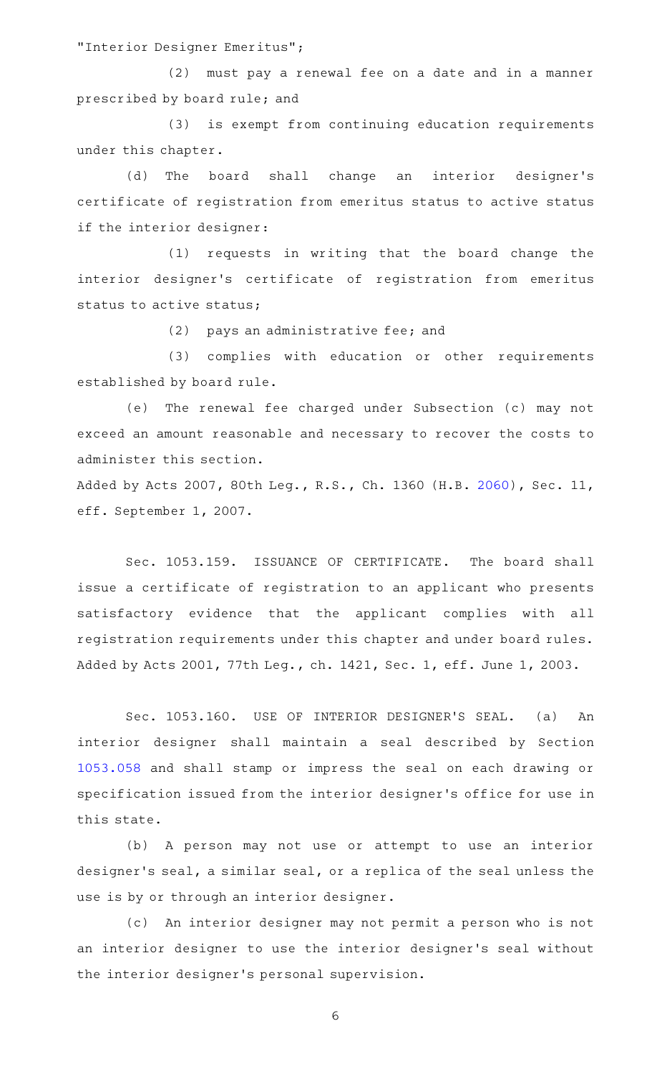"Interior Designer Emeritus";

(2) must pay a renewal fee on a date and in a manner prescribed by board rule; and

(3) is exempt from continuing education requirements under this chapter.

(d) The board shall change an interior designer's certificate of registration from emeritus status to active status if the interior designer:

 $(1)$  requests in writing that the board change the interior designer 's certificate of registration from emeritus status to active status;

(2) pays an administrative fee; and

(3) complies with education or other requirements established by board rule.

(e) The renewal fee charged under Subsection (c) may not exceed an amount reasonable and necessary to recover the costs to administer this section.

Added by Acts 2007, 80th Leg., R.S., Ch. 1360 (H.B. [2060](http://www.legis.state.tx.us/tlodocs/80R/billtext/html/HB02060F.HTM)), Sec. 11, eff. September 1, 2007.

Sec. 1053.159. ISSUANCE OF CERTIFICATE. The board shall issue a certificate of registration to an applicant who presents satisfactory evidence that the applicant complies with all registration requirements under this chapter and under board rules. Added by Acts 2001, 77th Leg., ch. 1421, Sec. 1, eff. June 1, 2003.

Sec. 1053.160. USE OF INTERIOR DESIGNER'S SEAL. (a) An interior designer shall maintain a seal described by Section [1053.058](http://www.statutes.legis.state.tx.us/GetStatute.aspx?Code=OC&Value=1053.058) and shall stamp or impress the seal on each drawing or specification issued from the interior designer 's office for use in this state.

(b) A person may not use or attempt to use an interior designer 's seal, a similar seal, or a replica of the seal unless the use is by or through an interior designer.

(c) An interior designer may not permit a person who is not an interior designer to use the interior designer 's seal without the interior designer 's personal supervision.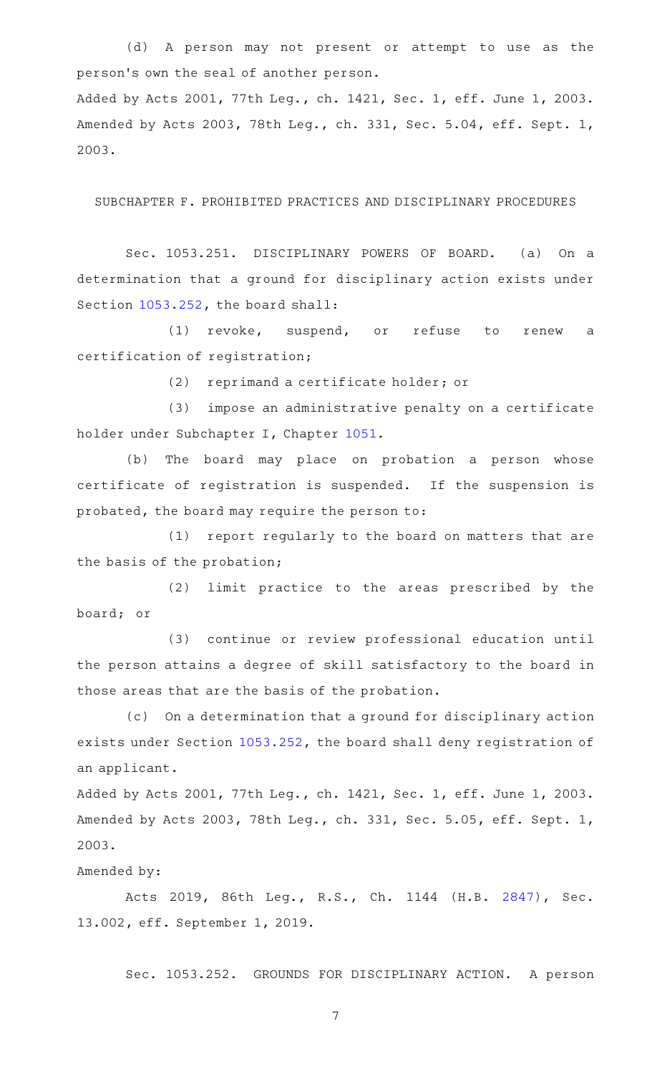(d) A person may not present or attempt to use as the person 's own the seal of another person.

Added by Acts 2001, 77th Leg., ch. 1421, Sec. 1, eff. June 1, 2003. Amended by Acts 2003, 78th Leg., ch. 331, Sec. 5.04, eff. Sept. 1, 2003.

SUBCHAPTER F. PROHIBITED PRACTICES AND DISCIPLINARY PROCEDURES

Sec. 1053.251. DISCIPLINARY POWERS OF BOARD. (a) On a determination that a ground for disciplinary action exists under Section [1053.252](http://www.statutes.legis.state.tx.us/GetStatute.aspx?Code=OC&Value=1053.252), the board shall:

(1) revoke, suspend, or refuse to renew a certification of registration;

(2) reprimand a certificate holder; or

(3) impose an administrative penalty on a certificate holder under Subchapter I, Chapter [1051.](http://www.statutes.legis.state.tx.us/GetStatute.aspx?Code=OC&Value=1051)

(b) The board may place on probation a person whose certificate of registration is suspended. If the suspension is probated, the board may require the person to:

(1) report regularly to the board on matters that are the basis of the probation;

(2) limit practice to the areas prescribed by the board; or

(3) continue or review professional education until the person attains a degree of skill satisfactory to the board in those areas that are the basis of the probation.

(c) On a determination that a ground for disciplinary action exists under Section [1053.252](http://www.statutes.legis.state.tx.us/GetStatute.aspx?Code=OC&Value=1053.252), the board shall deny registration of an applicant.

Added by Acts 2001, 77th Leg., ch. 1421, Sec. 1, eff. June 1, 2003. Amended by Acts 2003, 78th Leg., ch. 331, Sec. 5.05, eff. Sept. 1, 2003.

## Amended by:

Acts 2019, 86th Leg., R.S., Ch. 1144 (H.B. [2847\)](http://www.legis.state.tx.us/tlodocs/86R/billtext/html/HB02847F.HTM), Sec. 13.002, eff. September 1, 2019.

Sec. 1053.252. GROUNDS FOR DISCIPLINARY ACTION. A person